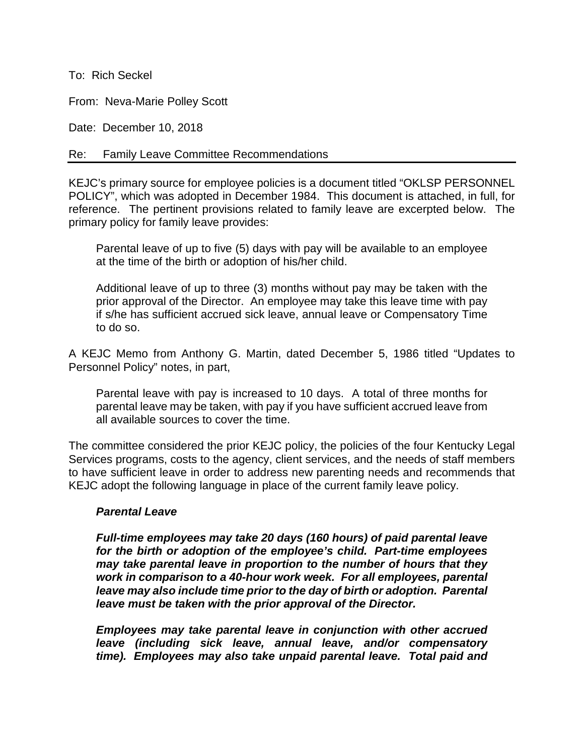To: Rich Seckel

From: Neva-Marie Polley Scott

Date: December 10, 2018

## Re: Family Leave Committee Recommendations

KEJC's primary source for employee policies is a document titled "OKLSP PERSONNEL POLICY", which was adopted in December 1984. This document is attached, in full, for reference. The pertinent provisions related to family leave are excerpted below. The primary policy for family leave provides:

Parental leave of up to five (5) days with pay will be available to an employee at the time of the birth or adoption of his/her child.

Additional leave of up to three (3) months without pay may be taken with the prior approval of the Director. An employee may take this leave time with pay if s/he has sufficient accrued sick leave, annual leave or Compensatory Time to do so.

A KEJC Memo from Anthony G. Martin, dated December 5, 1986 titled "Updates to Personnel Policy" notes, in part,

Parental leave with pay is increased to 10 days. A total of three months for parental leave may be taken, with pay if you have sufficient accrued leave from all available sources to cover the time.

The committee considered the prior KEJC policy, the policies of the four Kentucky Legal Services programs, costs to the agency, client services, and the needs of staff members to have sufficient leave in order to address new parenting needs and recommends that KEJC adopt the following language in place of the current family leave policy.

## *Parental Leave*

*Full-time employees may take 20 days (160 hours) of paid parental leave for the birth or adoption of the employee's child. Part-time employees may take parental leave in proportion to the number of hours that they work in comparison to a 40-hour work week. For all employees, parental leave may also include time prior to the day of birth or adoption. Parental leave must be taken with the prior approval of the Director.* 

*Employees may take parental leave in conjunction with other accrued leave (including sick leave, annual leave, and/or compensatory time). Employees may also take unpaid parental leave. Total paid and*